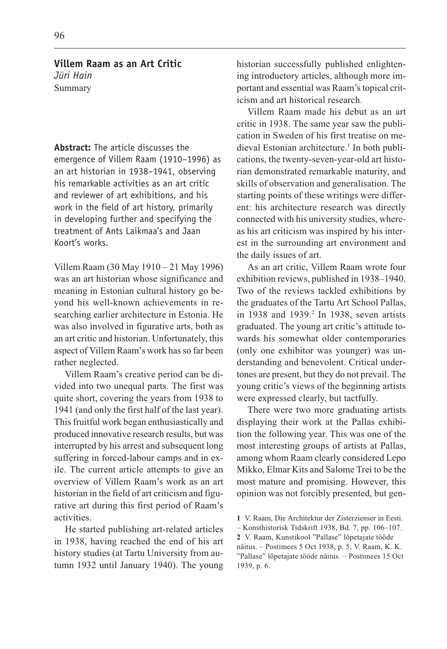**Abstract:** The article discusses the emergence of Villem Raam (1910–1996) as an art historian in 1938–1941, observing his remarkable activities as an art critic and reviewer of art exhibitions, and his work in the field of art history, primarily in developing further and specifying the treatment of Ants Laikmaa's and Jaan Koort's works.

Villem Raam (30 May 1910 21 May 1996) was an art historian whose significance and meaning in Estonian cultural history go beyond his well-known achievements in researching earlier architecture in Estonia. He was also involved in figurative arts, both as an art critic and historian. Unfortunately, this aspect of Villem Raam's work has so far been rather neglected.

Villem Raam's creative period can be divided into two unequal parts. The first was quite short, covering the years from 1938 to 1941 (and only the first half of the last year). This fruitful work began enthusiastically and produced innovative research results, but was interrupted by his arrest and subsequent long suffering in forced-labour camps and in exile. The current article attempts to give an overview of Villem Raam's work as an art historian in the field of art criticism and figurative art during this first period of Raam's activities.

He started publishing art-related articles in 1938, having reached the end of his art history studies (at Tartu University from autumn 1932 until January 1940). The young historian successfully published enlightening introductory articles, although more important and essential was Raam's topical criticism and art historical research.

Villem Raam made his debut as an art critic in 1938. The same year saw the publication in Sweden of his first treatise on medieval Estonian architecture.<sup>1</sup> In both publications, the twenty-seven-year-old art historian demonstrated remarkable maturity, and skills of observation and generalisation. The starting points of these writings were different: his architecture research was directly connected with his university studies, whereas his art criticism was inspired by his interest in the surrounding art environment and the daily issues of art.

As an art critic, Villem Raam wrote four exhibition reviews, published in 1938-1940. Two of the reviews tackled exhibitions by the graduates of the Tartu Art School Pallas, in 1938 and 1939.<sup>2</sup> In 1938, seven artists graduated. The young art critic's attitude towards his somewhat older contemporaries (only one exhibitor was younger) was understanding and benevolent. Critical undertones are present, but they do not prevail. The young critic's views of the beginning artists were expressed clearly, but tactfully.

There were two more graduating artists displaying their work at the Pallas exhibition the following year. This was one of the most interesting groups of artists at Pallas, among whom Raam clearly considered Lepo Mikko, Elmar Kits and Salome Trei to be the most mature and promising. However, this opinion was not forcibly presented, but gen-

näitus. Postimees 5 Oct 1938, p. 5; V. Raam, K. K. "Pallase" lõpetajate tööde näitus. – Postimees 15 Oct 1939, p. 6.

<sup>1</sup> V. Raam, Die Architektur der Zisterzienser in Eesti.

 $-$  Konsthistorisk Tidskrift 1938, Bd. 7, pp. 106–107.

<sup>2</sup> V. Raam, Kunstikool "Pallase" lõpetajate tööde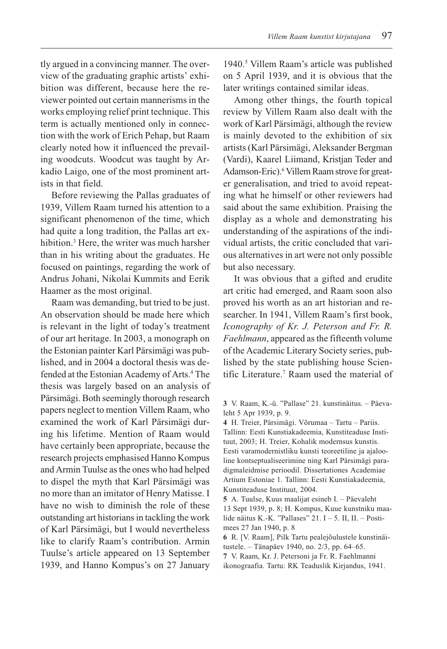tly argued in a convincing manner. The overview of the graduating graphic artists' exhibition was different, because here the reviewer pointed out certain mannerisms in the works employing relief print technique. This term is actually mentioned only in connection with the work of Erich Pehap, but Raam clearly noted how it influenced the prevailing woodcuts. Woodcut was taught by Arkadio Laigo, one of the most prominent artists in that field.

Before reviewing the Pallas graduates of 1939, Villem Raam turned his attention to a significant phenomenon of the time, which had quite a long tradition, the Pallas art exhibition.3 Here, the writer was much harsher than in his writing about the graduates. He focused on paintings, regarding the work of Andrus Johani, Nikolai Kummits and Eerik Haamer as the most original.

Raam was demanding, but tried to be just. An observation should be made here which is relevant in the light of today's treatment of our art heritage. In 2003, a monograph on the Estonian painter Karl Pärsimägi was published, and in 2004 a doctoral thesis was defended at the Estonian Academy of Arts.<sup>4</sup> The thesis was largely based on an analysis of Pärsimägi. Both seemingly thorough research papers neglect to mention Villem Raam, who examined the work of Karl Pärsimägi during his lifetime. Mention of Raam would have certainly been appropriate, because the research projects emphasised Hanno Kompus and Armin Tuulse as the ones who had helped to dispel the myth that Karl Pärsimägi was no more than an imitator of Henry Matisse. I have no wish to diminish the role of these outstanding art historians in tackling the work of Karl Pärsimägi, but I would nevertheless like to clarify Raam's contribution. Armin Tuulse's article appeared on 13 September 1939, and Hanno Kompus's on 27 January

1940.<sup>5</sup> Villem Raam's article was published on 5 April 1939, and it is obvious that the later writings contained similar ideas.

Among other things, the fourth topical review by Villem Raam also dealt with the work of Karl Pärsimägi, although the review is mainly devoted to the exhibition of six artists (Karl Pärsimägi, Aleksander Bergman (Vardi), Kaarel Liimand, Kristjan Teder and Adamson-Eric).<sup>6</sup> Villem Raam strove for greater generalisation, and tried to avoid repeating what he himself or other reviewers had said about the same exhibition. Praising the display as a whole and demonstrating his understanding of the aspirations of the individual artists, the critic concluded that various alternatives in art were not only possible but also necessary.

It was obvious that a gifted and erudite art critic had emerged, and Raam soon also proved his worth as an art historian and researcher. In 1941, Villem Raam's first book, Iconography of Kr. J. Peterson and Fr. R. Faehlmann, appeared as the fifteenth volume of the Academic Literary Society series, published by the state publishing house Scientific Literature.7 Raam used the material of

3 V. Raam, K.-ü. "Pallase" 21. kunstinäitus. - Päevaleht 5 Apr 1939, p. 9.

4 H. Treier, Pärsimägi. Võrumaa - Tartu - Pariis. Tallinn: Eesti Kunstiakadeemia, Kunstiteaduse Instituut, 2003; H. Treier, Kohalik modernsus kunstis. Eesti varamodernistliku kunsti teoreetiline ja ajalooline kontseptualiseerimine ning Karl Pärsimägi paradigmaleidmise perioodil. Dissertationes Academiae Artium Estoniae 1. Tallinn: Eesti Kunstiakadeemia, Kunstiteaduse Instituut, 2004.

5 A. Tuulse, Kuus maalijat esineb I. Päevaleht 13 Sept 1939, p. 8; H. Kompus, Kuue kunstniku maalide näitus K.-K. "Pallases"  $21. I - 5. II$ , II.  $-$  Postimees 27 Jan 1940, p. 8

6 R. [V. Raam], Pilk Tartu pealejõulustele kunstinäitustele. – Tänapäev 1940, no.  $2/3$ , pp. 64–65. 7 V. Raam, Kr. J. Petersoni ja Fr. R. Faehlmanni

ikonograafia. Tartu: RK Teaduslik Kirjandus, 1941.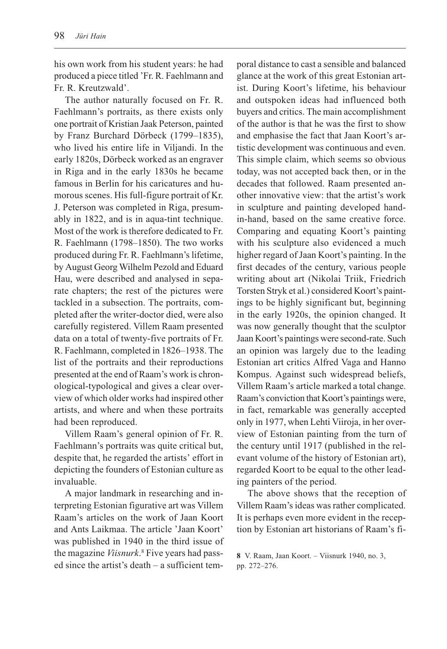his own work from his student years: he had produced a piece titled 'Fr. R. Faehlmann and Fr. R. Kreutzwald'.

The author naturally focused on Fr. R. Faehlmann's portraits, as there exists only one portrait of Kristian Jaak Peterson, painted by Franz Burchard Dörbeck (1799–1835), who lived his entire life in Viljandi. In the early 1820s, Dörbeck worked as an engraver in Riga and in the early 1830s he became famous in Berlin for his caricatures and humorous scenes. His full-figure portrait of Kr. J. Peterson was completed in Riga, presumably in 1822, and is in aqua-tint technique. Most of the work is therefore dedicated to Fr. R. Faehlmann (1798-1850). The two works produced during Fr. R. Faehlmann's lifetime, by August Georg Wilhelm Pezold and Eduard Hau, were described and analysed in separate chapters; the rest of the pictures were tackled in a subsection. The portraits, completed after the writer-doctor died, were also carefully registered. Villem Raam presented data on a total of twenty-five portraits of Fr. R. Faehlmann, completed in 1826–1938. The list of the portraits and their reproductions presented at the end of Raam's work is chronological-typological and gives a clear overview of which older works had inspired other artists, and where and when these portraits had been reproduced.

Villem Raam's general opinion of Fr. R. Faehlmann's portraits was quite critical but, despite that, he regarded the artists' effort in depicting the founders of Estonian culture as invaluable.

A major landmark in researching and interpreting Estonian figurative art was Villem Raam's articles on the work of Jaan Koort and Ants Laikmaa. The article Jaan Koort was published in 1940 in the third issue of the magazine Viisnurk.<sup>8</sup> Five years had passed since the artist's death  $-$  a sufficient temporal distance to cast a sensible and balanced glance at the work of this great Estonian artist. During Koort's lifetime, his behaviour and outspoken ideas had influenced both buyers and critics. The main accomplishment of the author is that he was the first to show and emphasise the fact that Jaan Koort's artistic development was continuous and even. This simple claim, which seems so obvious today, was not accepted back then, or in the decades that followed. Raam presented another innovative view: that the artist's work in sculpture and painting developed handin-hand, based on the same creative force. Comparing and equating Koort's painting with his sculpture also evidenced a much higher regard of Jaan Koort's painting. In the first decades of the century, various people writing about art (Nikolai Triik, Friedrich Torsten Stryk et al.) considered Koort's paintings to be highly significant but, beginning in the early 1920s, the opinion changed. It was now generally thought that the sculptor Jaan Koort's paintings were second-rate. Such an opinion was largely due to the leading Estonian art critics Alfred Vaga and Hanno Kompus. Against such widespread beliefs, Villem Raam's article marked a total change. Raam's conviction that Koort's paintings were, in fact, remarkable was generally accepted only in 1977, when Lehti Viiroja, in her overview of Estonian painting from the turn of the century until 1917 (published in the relevant volume of the history of Estonian art), regarded Koort to be equal to the other leading painters of the period.

The above shows that the reception of Villem Raam's ideas was rather complicated. It is perhaps even more evident in the reception by Estonian art historians of Raam's fi-

<sup>8</sup> V. Raam, Jaan Koort. Viisnurk 1940, no. 3, pp. 272-276.